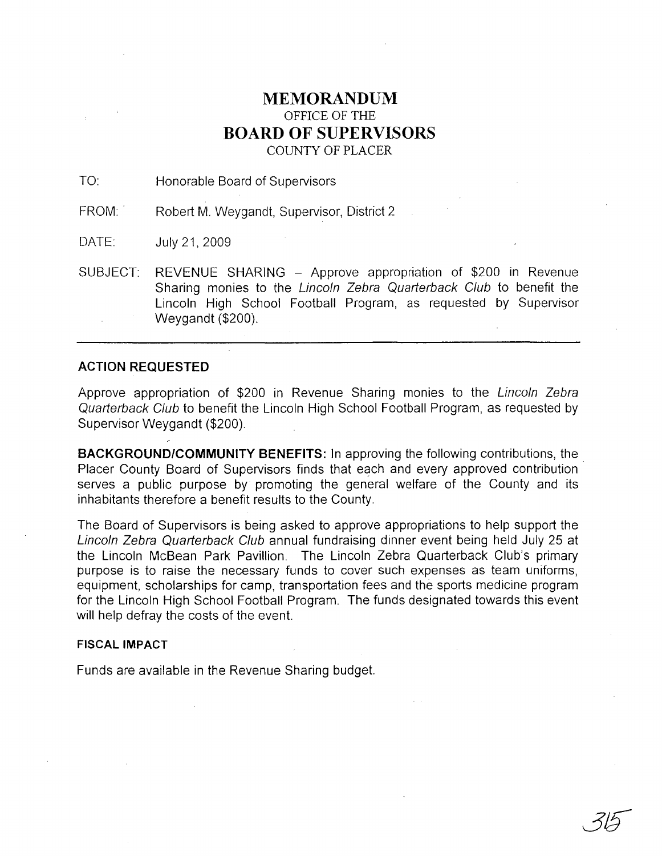## **MEMORANDUM** OFFICE OF THE **BOARD OF SUPERVISORS** COUNTY OF PLACER

TO: Honorable Board of Supervisors

FROM: Robert M. Weygandt, Supervisor, District 2

DATE: July21,2009

SUBJECT: REVENUE SHARING - Approve appropriation of \$200 in Revenue Sharing monies to the Lincoln Zebra Quarterback Club to benefit the Lincoln High School Football Program, as requested by Supervisor Weygandt (\$200).

## **ACTION REQUESTED**

Approve appropriation of \$200 in Revenue Sharing monies to the Lincoln Zebra Quarterback Club to benefit the Lincoln High School Football Program, as requested by Supervisor Weygandt (\$200).

**BACKGROUND/COMMUNITY BENEFITS:** In approving the following contributions, the. Placer County Board of Supervisors finds that each and every approved contribution serves a public purpose by promoting the general welfare of the County and its inhabitants therefore a benefit results to the County.

The Board of Supervisors is being asked to approve appropriations to help support the Lincoln Zebra Quarterback Club annual fundraising dinner event being held July 25 at the Lincoln McBean Park Pavillion. The Lincoln Zebra Quarterback Club's primary purpose is to raise the necessary funds to cover such expenses as team uniforms, equipment, scholarships for camp, transportation fees and the sports medicine program for the Lincoln High School Football Program. The funds designated towards this event will help defray the costs of the event.

## **FISCAL IMPACT**

Funds are available in the Revenue Sharing budget.